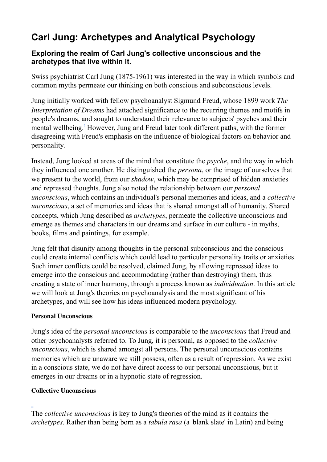# **Carl Jung: Archetypes and Analytical Psychology**

# **Exploring the realm of Carl Jung's collective unconscious and the archetypes that live within it.**

Swiss psychiatrist Carl Jung (1875-1961) was interested in the way in which symbols and common myths permeate our thinking on both conscious and subconscious levels.

Jung initially worked with fellow psychoanalyst Sigmund Freud, whose 1899 work *The Interpretation of Dreams* had attached significance to the recurring themes and motifs in people's dreams, and sought to understand their relevance to subjects' psyches and their mental wellbeing.<sup>1</sup> However, Jung and Freud later took different paths, with the former disagreeing with Freud's emphasis on the influence of biological factors on behavior and personality.

Instead, Jung looked at areas of the mind that constitute the *psyche*, and the way in which they influenced one another. He distinguished the *persona*, or the image of ourselves that we present to the world, from our *shadow*, which may be comprised of hidden anxieties and repressed thoughts. Jung also noted the relationship between our *personal unconscious*, which contains an individual's personal memories and ideas, and a *collective unconscious*, a set of memories and ideas that is shared amongst all of humanity. Shared concepts, which Jung described as *archetypes*, permeate the collective unconscious and emerge as themes and characters in our dreams and surface in our culture - in myths, books, films and paintings, for example.

Jung felt that disunity among thoughts in the personal subconscious and the conscious could create internal conflicts which could lead to particular personality traits or anxieties. Such inner conflicts could be resolved, claimed Jung, by allowing repressed ideas to emerge into the conscious and accommodating (rather than destroying) them, thus creating a state of inner harmony, through a process known as *individuation*. In this article we will look at Jung's theories on psychoanalysis and the most significant of his archetypes, and will see how his ideas influenced modern psychology.

### **Personal Unconscious**

Jung's idea of the *personal unconscious* is comparable to the *unconscious* that Freud and other psychoanalysts referred to. To Jung, it is personal, as opposed to the *collective unconscious*, which is shared amongst all persons. The personal unconscious contains memories which are unaware we still possess, often as a result of repression. As we exist in a conscious state, we do not have direct access to our personal unconscious, but it emerges in our dreams or in a hypnotic state of regression.

### **Collective Unconscious**

The *collective unconscious* is key to Jung's theories of the mind as it contains the *archetypes*. Rather than being born as a *tabula rasa* (a 'blank slate' in Latin) and being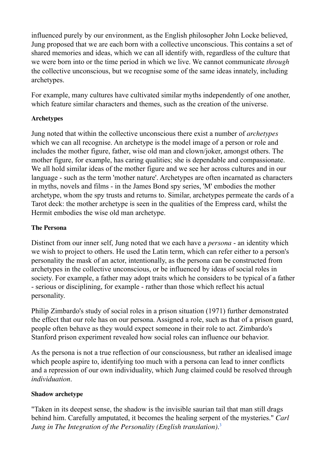influenced purely by our environment, as the English philosopher John Locke believed, Jung proposed that we are each born with a collective unconscious. This contains a set of shared memories and ideas, which we can all identify with, regardless of the culture that we were born into or the time period in which we live. We cannot communicate *through*  the collective unconscious, but we recognise some of the same ideas innately, including archetypes.

For example, many cultures have cultivated similar myths independently of one another, which feature similar characters and themes, such as the creation of the universe.

## **Archetypes**

Jung noted that within the collective unconscious there exist a number of *archetypes*  which we can all recognise. An archetype is the model image of a person or role and includes the mother figure, father, wise old man and clown/joker, amongst others. The mother figure, for example, has caring qualities; she is dependable and compassionate. We all hold similar ideas of the mother figure and we see her across cultures and in our language - such as the term 'mother nature'. Archetypes are often incarnated as characters in myths, novels and films - in the James Bond spy series, 'M' embodies the mother archetype, whom the spy trusts and returns to. Similar, archetypes permeate the cards of a Tarot deck: the mother archetype is seen in the qualities of the Empress card, whilst the Hermit embodies the wise old man archetype.

## **The Persona**

Distinct from our inner self, Jung noted that we each have a *persona* - an identity which we wish to project to others. He used the Latin term, which can refer either to a person's personality the mask of an actor, intentionally, as the persona can be constructed from archetypes in the collective unconscious, or be influenced by ideas of social roles in society. For example, a father may adopt traits which he considers to be typical of a father - serious or disciplining, for example - rather than those which reflect his actual personality.

Philip Zimbardo's study of social roles in a prison situation (1971) further demonstrated the effect that our role has on our persona. Assigned a role, such as that of a prison guard, people often behave as they would expect someone in their role to act. Zimbardo's Stanford prison experiment revealed how social roles can influence our behavior.

As the persona is not a true reflection of our consciousness, but rather an idealised image which people aspire to, identifying too much with a persona can lead to inner conflicts and a repression of our own individuality, which Jung claimed could be resolved through *individuation*.

### **Shadow archetype**

"Taken in its deepest sense, the shadow is the invisible saurian tail that man still drags behind him. Carefully amputated, it becomes the healing serpent of the mysteries." *Carl Jung in The Integration of the Personality (English translation)*. 3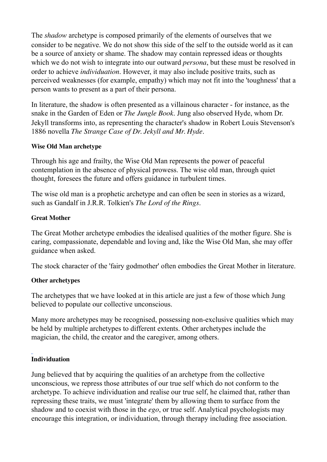The *shadow* archetype is composed primarily of the elements of ourselves that we consider to be negative. We do not show this side of the self to the outside world as it can be a source of anxiety or shame. The shadow may contain repressed ideas or thoughts which we do not wish to integrate into our outward *persona*, but these must be resolved in order to achieve *individuation*. However, it may also include positive traits, such as perceived weaknesses (for example, empathy) which may not fit into the 'toughness' that a person wants to present as a part of their persona.

In literature, the shadow is often presented as a villainous character - for instance, as the snake in the Garden of Eden or *The Jungle Book*. Jung also observed Hyde, whom Dr. Jekyll transforms into, as representing the character's shadow in Robert Louis Stevenson's 1886 novella *The Strange Case of Dr. Jekyll and Mr. Hyde*.

# **Wise Old Man archetype**

Through his age and frailty, the Wise Old Man represents the power of peaceful contemplation in the absence of physical prowess. The wise old man, through quiet thought, foresees the future and offers guidance in turbulent times.

The wise old man is a prophetic archetype and can often be seen in stories as a wizard, such as Gandalf in J.R.R. Tolkien's *The Lord of the Rings*.

## **Great Mother**

The Great Mother archetype embodies the idealised qualities of the mother figure. She is caring, compassionate, dependable and loving and, like the Wise Old Man, she may offer guidance when asked.

The stock character of the 'fairy godmother' often embodies the Great Mother in literature.

# **Other archetypes**

The archetypes that we have looked at in this article are just a few of those which Jung believed to populate our collective unconscious.

Many more archetypes may be recognised, possessing non-exclusive qualities which may be held by multiple archetypes to different extents. Other archetypes include the magician, the child, the creator and the caregiver, among others.

# **Individuation**

Jung believed that by acquiring the qualities of an archetype from the collective unconscious, we repress those attributes of our true self which do not conform to the archetype. To achieve individuation and realise our true self, he claimed that, rather than repressing these traits, we must 'integrate' them by allowing them to surface from the shadow and to coexist with those in the *ego*, or true self. Analytical psychologists may encourage this integration, or individuation, through therapy including free association.